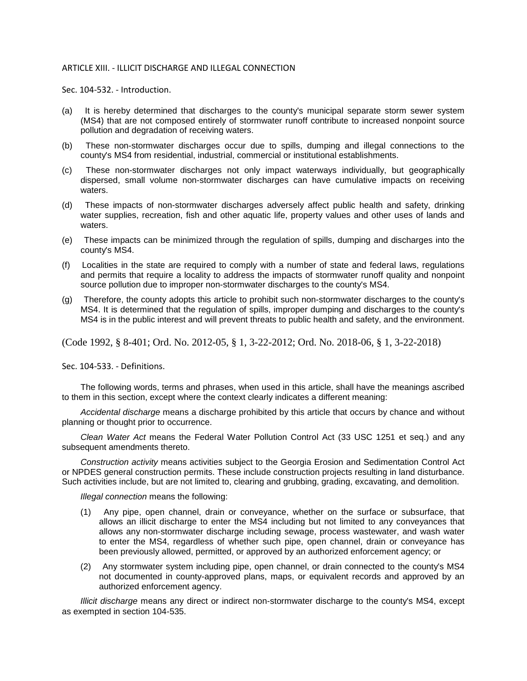## ARTICLE XIII. - ILLICIT DISCHARGE AND ILLEGAL CONNECTION

Sec. 104-532. - Introduction.

- (a) It is hereby determined that discharges to the county's municipal separate storm sewer system (MS4) that are not composed entirely of stormwater runoff contribute to increased nonpoint source pollution and degradation of receiving waters.
- (b) These non-stormwater discharges occur due to spills, dumping and illegal connections to the county's MS4 from residential, industrial, commercial or institutional establishments.
- (c) These non-stormwater discharges not only impact waterways individually, but geographically dispersed, small volume non-stormwater discharges can have cumulative impacts on receiving waters.
- (d) These impacts of non-stormwater discharges adversely affect public health and safety, drinking water supplies, recreation, fish and other aquatic life, property values and other uses of lands and waters.
- (e) These impacts can be minimized through the regulation of spills, dumping and discharges into the county's MS4.
- (f) Localities in the state are required to comply with a number of state and federal laws, regulations and permits that require a locality to address the impacts of stormwater runoff quality and nonpoint source pollution due to improper non-stormwater discharges to the county's MS4.
- (g) Therefore, the county adopts this article to prohibit such non-stormwater discharges to the county's MS4. It is determined that the regulation of spills, improper dumping and discharges to the county's MS4 is in the public interest and will prevent threats to public health and safety, and the environment.

(Code 1992, § 8-401; Ord. No. 2012-05, § 1, 3-22-2012; Ord. No. 2018-06, § 1, 3-22-2018)

Sec. 104-533. - Definitions.

The following words, terms and phrases, when used in this article, shall have the meanings ascribed to them in this section, except where the context clearly indicates a different meaning:

*Accidental discharge* means a discharge prohibited by this article that occurs by chance and without planning or thought prior to occurrence.

*Clean Water Act* means the Federal Water Pollution Control Act (33 USC 1251 et seq.) and any subsequent amendments thereto.

*Construction activity* means activities subject to the Georgia Erosion and Sedimentation Control Act or NPDES general construction permits. These include construction projects resulting in land disturbance. Such activities include, but are not limited to, clearing and grubbing, grading, excavating, and demolition.

*Illegal connection* means the following:

- (1) Any pipe, open channel, drain or conveyance, whether on the surface or subsurface, that allows an illicit discharge to enter the MS4 including but not limited to any conveyances that allows any non-stormwater discharge including sewage, process wastewater, and wash water to enter the MS4, regardless of whether such pipe, open channel, drain or conveyance has been previously allowed, permitted, or approved by an authorized enforcement agency; or
- (2) Any stormwater system including pipe, open channel, or drain connected to the county's MS4 not documented in county-approved plans, maps, or equivalent records and approved by an authorized enforcement agency.

*Illicit discharge* means any direct or indirect non-stormwater discharge to the county's MS4, except as exempted in section 104-535.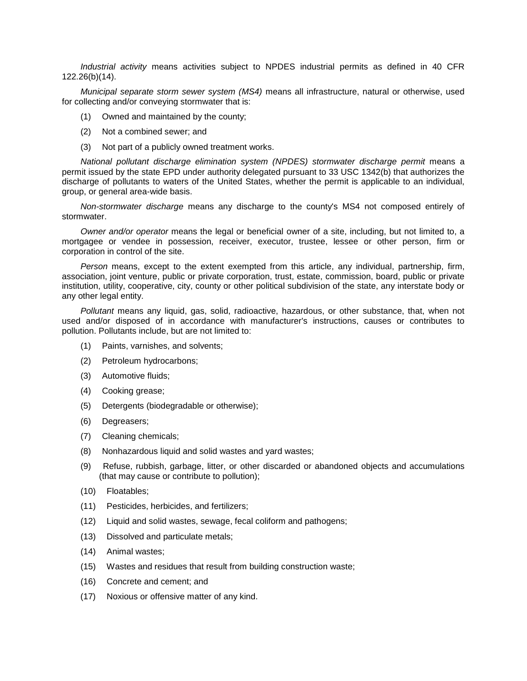*Industrial activity* means activities subject to NPDES industrial permits as defined in 40 CFR 122.26(b)(14).

*Municipal separate storm sewer system (MS4)* means all infrastructure, natural or otherwise, used for collecting and/or conveying stormwater that is:

- (1) Owned and maintained by the county;
- (2) Not a combined sewer; and
- (3) Not part of a publicly owned treatment works.

*National pollutant discharge elimination system (NPDES) stormwater discharge permit* means a permit issued by the state EPD under authority delegated pursuant to 33 USC 1342(b) that authorizes the discharge of pollutants to waters of the United States, whether the permit is applicable to an individual, group, or general area-wide basis.

*Non-stormwater discharge* means any discharge to the county's MS4 not composed entirely of stormwater.

*Owner and/or operator* means the legal or beneficial owner of a site, including, but not limited to, a mortgagee or vendee in possession, receiver, executor, trustee, lessee or other person, firm or corporation in control of the site.

*Person* means, except to the extent exempted from this article, any individual, partnership, firm, association, joint venture, public or private corporation, trust, estate, commission, board, public or private institution, utility, cooperative, city, county or other political subdivision of the state, any interstate body or any other legal entity.

*Pollutant* means any liquid, gas, solid, radioactive, hazardous, or other substance, that, when not used and/or disposed of in accordance with manufacturer's instructions, causes or contributes to pollution. Pollutants include, but are not limited to:

- (1) Paints, varnishes, and solvents;
- (2) Petroleum hydrocarbons;
- (3) Automotive fluids;
- (4) Cooking grease;
- (5) Detergents (biodegradable or otherwise);
- (6) Degreasers;
- (7) Cleaning chemicals;
- (8) Nonhazardous liquid and solid wastes and yard wastes;
- (9) Refuse, rubbish, garbage, litter, or other discarded or abandoned objects and accumulations (that may cause or contribute to pollution);
- (10) Floatables;
- (11) Pesticides, herbicides, and fertilizers;
- (12) Liquid and solid wastes, sewage, fecal coliform and pathogens;
- (13) Dissolved and particulate metals;
- (14) Animal wastes;
- (15) Wastes and residues that result from building construction waste;
- (16) Concrete and cement; and
- (17) Noxious or offensive matter of any kind.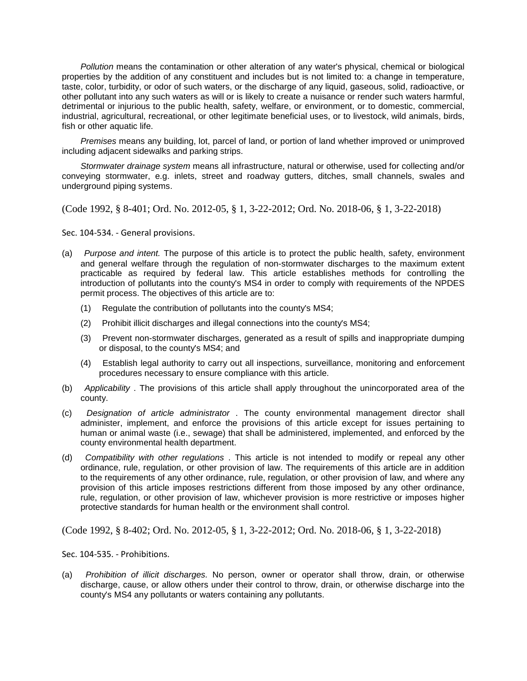*Pollution* means the contamination or other alteration of any water's physical, chemical or biological properties by the addition of any constituent and includes but is not limited to: a change in temperature, taste, color, turbidity, or odor of such waters, or the discharge of any liquid, gaseous, solid, radioactive, or other pollutant into any such waters as will or is likely to create a nuisance or render such waters harmful, detrimental or injurious to the public health, safety, welfare, or environment, or to domestic, commercial, industrial, agricultural, recreational, or other legitimate beneficial uses, or to livestock, wild animals, birds, fish or other aquatic life.

*Premises* means any building, lot, parcel of land, or portion of land whether improved or unimproved including adjacent sidewalks and parking strips.

*Stormwater drainage system* means all infrastructure, natural or otherwise, used for collecting and/or conveying stormwater, e.g. inlets, street and roadway gutters, ditches, small channels, swales and underground piping systems.

(Code 1992, § 8-401; Ord. No. 2012-05, § 1, 3-22-2012; Ord. No. 2018-06, § 1, 3-22-2018)

Sec. 104-534. - General provisions.

- (a) *Purpose and intent.* The purpose of this article is to protect the public health, safety, environment and general welfare through the regulation of non-stormwater discharges to the maximum extent practicable as required by federal law. This article establishes methods for controlling the introduction of pollutants into the county's MS4 in order to comply with requirements of the NPDES permit process. The objectives of this article are to:
	- (1) Regulate the contribution of pollutants into the county's MS4;
	- (2) Prohibit illicit discharges and illegal connections into the county's MS4;
	- (3) Prevent non-stormwater discharges, generated as a result of spills and inappropriate dumping or disposal, to the county's MS4; and
	- (4) Establish legal authority to carry out all inspections, surveillance, monitoring and enforcement procedures necessary to ensure compliance with this article.
- (b) *Applicability* . The provisions of this article shall apply throughout the unincorporated area of the county.
- (c) *Designation of article administrator* . The county environmental management director shall administer, implement, and enforce the provisions of this article except for issues pertaining to human or animal waste (i.e., sewage) that shall be administered, implemented, and enforced by the county environmental health department.
- (d) *Compatibility with other regulations* . This article is not intended to modify or repeal any other ordinance, rule, regulation, or other provision of law. The requirements of this article are in addition to the requirements of any other ordinance, rule, regulation, or other provision of law, and where any provision of this article imposes restrictions different from those imposed by any other ordinance, rule, regulation, or other provision of law, whichever provision is more restrictive or imposes higher protective standards for human health or the environment shall control.

(Code 1992, § 8-402; Ord. No. 2012-05, § 1, 3-22-2012; Ord. No. 2018-06, § 1, 3-22-2018)

Sec. 104-535. - Prohibitions.

(a) *Prohibition of illicit discharges.* No person, owner or operator shall throw, drain, or otherwise discharge, cause, or allow others under their control to throw, drain, or otherwise discharge into the county's MS4 any pollutants or waters containing any pollutants.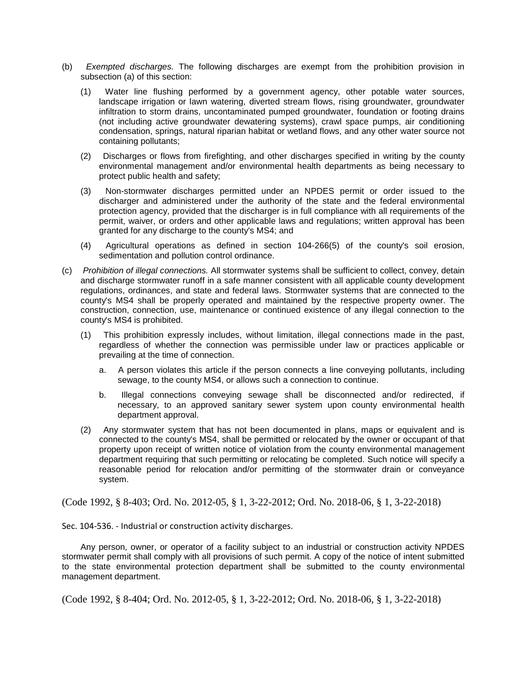- (b) *Exempted discharges.* The following discharges are exempt from the prohibition provision in subsection (a) of this section:
	- (1) Water line flushing performed by a government agency, other potable water sources, landscape irrigation or lawn watering, diverted stream flows, rising groundwater, groundwater infiltration to storm drains, uncontaminated pumped groundwater, foundation or footing drains (not including active groundwater dewatering systems), crawl space pumps, air conditioning condensation, springs, natural riparian habitat or wetland flows, and any other water source not containing pollutants;
	- (2) Discharges or flows from firefighting, and other discharges specified in writing by the county environmental management and/or environmental health departments as being necessary to protect public health and safety;
	- (3) Non-stormwater discharges permitted under an NPDES permit or order issued to the discharger and administered under the authority of the state and the federal environmental protection agency, provided that the discharger is in full compliance with all requirements of the permit, waiver, or orders and other applicable laws and regulations; written approval has been granted for any discharge to the county's MS4; and
	- (4) Agricultural operations as defined in section 104-266(5) of the county's soil erosion, sedimentation and pollution control ordinance.
- (c) *Prohibition of illegal connections.* All stormwater systems shall be sufficient to collect, convey, detain and discharge stormwater runoff in a safe manner consistent with all applicable county development regulations, ordinances, and state and federal laws. Stormwater systems that are connected to the county's MS4 shall be properly operated and maintained by the respective property owner. The construction, connection, use, maintenance or continued existence of any illegal connection to the county's MS4 is prohibited.
	- (1) This prohibition expressly includes, without limitation, illegal connections made in the past, regardless of whether the connection was permissible under law or practices applicable or prevailing at the time of connection.
		- a. A person violates this article if the person connects a line conveying pollutants, including sewage, to the county MS4, or allows such a connection to continue.
		- b. Illegal connections conveying sewage shall be disconnected and/or redirected, if necessary, to an approved sanitary sewer system upon county environmental health department approval.
	- (2) Any stormwater system that has not been documented in plans, maps or equivalent and is connected to the county's MS4, shall be permitted or relocated by the owner or occupant of that property upon receipt of written notice of violation from the county environmental management department requiring that such permitting or relocating be completed. Such notice will specify a reasonable period for relocation and/or permitting of the stormwater drain or conveyance system.

(Code 1992, § 8-403; Ord. No. 2012-05, § 1, 3-22-2012; Ord. No. 2018-06, § 1, 3-22-2018)

Sec. 104-536. - Industrial or construction activity discharges.

Any person, owner, or operator of a facility subject to an industrial or construction activity NPDES stormwater permit shall comply with all provisions of such permit. A copy of the notice of intent submitted to the state environmental protection department shall be submitted to the county environmental management department.

(Code 1992, § 8-404; Ord. No. 2012-05, § 1, 3-22-2012; Ord. No. 2018-06, § 1, 3-22-2018)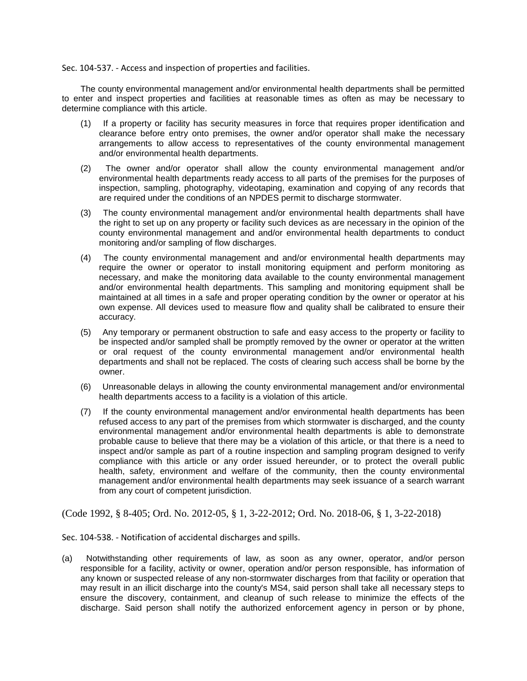Sec. 104-537. - Access and inspection of properties and facilities.

The county environmental management and/or environmental health departments shall be permitted to enter and inspect properties and facilities at reasonable times as often as may be necessary to determine compliance with this article.

- (1) If a property or facility has security measures in force that requires proper identification and clearance before entry onto premises, the owner and/or operator shall make the necessary arrangements to allow access to representatives of the county environmental management and/or environmental health departments.
- (2) The owner and/or operator shall allow the county environmental management and/or environmental health departments ready access to all parts of the premises for the purposes of inspection, sampling, photography, videotaping, examination and copying of any records that are required under the conditions of an NPDES permit to discharge stormwater.
- (3) The county environmental management and/or environmental health departments shall have the right to set up on any property or facility such devices as are necessary in the opinion of the county environmental management and and/or environmental health departments to conduct monitoring and/or sampling of flow discharges.
- (4) The county environmental management and and/or environmental health departments may require the owner or operator to install monitoring equipment and perform monitoring as necessary, and make the monitoring data available to the county environmental management and/or environmental health departments. This sampling and monitoring equipment shall be maintained at all times in a safe and proper operating condition by the owner or operator at his own expense. All devices used to measure flow and quality shall be calibrated to ensure their accuracy.
- (5) Any temporary or permanent obstruction to safe and easy access to the property or facility to be inspected and/or sampled shall be promptly removed by the owner or operator at the written or oral request of the county environmental management and/or environmental health departments and shall not be replaced. The costs of clearing such access shall be borne by the owner.
- (6) Unreasonable delays in allowing the county environmental management and/or environmental health departments access to a facility is a violation of this article.
- (7) If the county environmental management and/or environmental health departments has been refused access to any part of the premises from which stormwater is discharged, and the county environmental management and/or environmental health departments is able to demonstrate probable cause to believe that there may be a violation of this article, or that there is a need to inspect and/or sample as part of a routine inspection and sampling program designed to verify compliance with this article or any order issued hereunder, or to protect the overall public health, safety, environment and welfare of the community, then the county environmental management and/or environmental health departments may seek issuance of a search warrant from any court of competent jurisdiction.

(Code 1992, § 8-405; Ord. No. 2012-05, § 1, 3-22-2012; Ord. No. 2018-06, § 1, 3-22-2018)

Sec. 104-538. - Notification of accidental discharges and spills.

(a) Notwithstanding other requirements of law, as soon as any owner, operator, and/or person responsible for a facility, activity or owner, operation and/or person responsible, has information of any known or suspected release of any non-stormwater discharges from that facility or operation that may result in an illicit discharge into the county's MS4, said person shall take all necessary steps to ensure the discovery, containment, and cleanup of such release to minimize the effects of the discharge. Said person shall notify the authorized enforcement agency in person or by phone,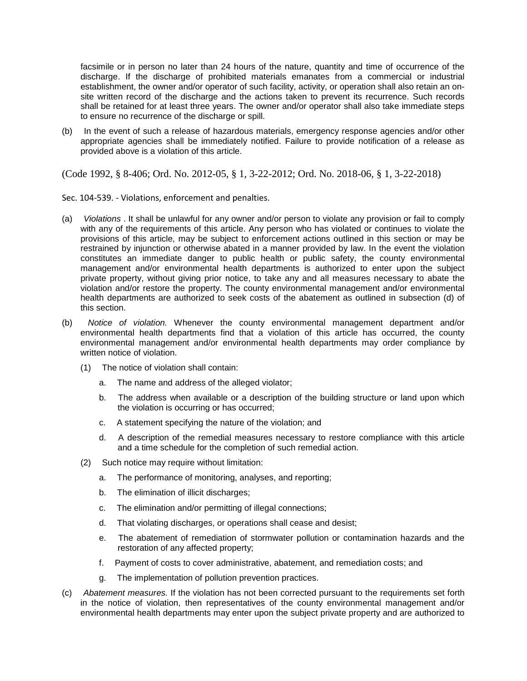facsimile or in person no later than 24 hours of the nature, quantity and time of occurrence of the discharge. If the discharge of prohibited materials emanates from a commercial or industrial establishment, the owner and/or operator of such facility, activity, or operation shall also retain an onsite written record of the discharge and the actions taken to prevent its recurrence. Such records shall be retained for at least three years. The owner and/or operator shall also take immediate steps to ensure no recurrence of the discharge or spill.

(b) In the event of such a release of hazardous materials, emergency response agencies and/or other appropriate agencies shall be immediately notified. Failure to provide notification of a release as provided above is a violation of this article.

(Code 1992, § 8-406; Ord. No. 2012-05, § 1, 3-22-2012; Ord. No. 2018-06, § 1, 3-22-2018)

Sec. 104-539. - Violations, enforcement and penalties.

- (a) *Violations* . It shall be unlawful for any owner and/or person to violate any provision or fail to comply with any of the requirements of this article. Any person who has violated or continues to violate the provisions of this article, may be subject to enforcement actions outlined in this section or may be restrained by injunction or otherwise abated in a manner provided by law. In the event the violation constitutes an immediate danger to public health or public safety, the county environmental management and/or environmental health departments is authorized to enter upon the subject private property, without giving prior notice, to take any and all measures necessary to abate the violation and/or restore the property. The county environmental management and/or environmental health departments are authorized to seek costs of the abatement as outlined in subsection (d) of this section.
- (b) *Notice of violation.* Whenever the county environmental management department and/or environmental health departments find that a violation of this article has occurred, the county environmental management and/or environmental health departments may order compliance by written notice of violation.
	- (1) The notice of violation shall contain:
		- a. The name and address of the alleged violator;
		- b. The address when available or a description of the building structure or land upon which the violation is occurring or has occurred;
		- c. A statement specifying the nature of the violation; and
		- d. A description of the remedial measures necessary to restore compliance with this article and a time schedule for the completion of such remedial action.
	- (2) Such notice may require without limitation:
		- a. The performance of monitoring, analyses, and reporting;
		- b. The elimination of illicit discharges;
		- c. The elimination and/or permitting of illegal connections;
		- d. That violating discharges, or operations shall cease and desist;
		- e. The abatement of remediation of stormwater pollution or contamination hazards and the restoration of any affected property;
		- f. Payment of costs to cover administrative, abatement, and remediation costs; and
		- g. The implementation of pollution prevention practices.
- (c) *Abatement measures.* If the violation has not been corrected pursuant to the requirements set forth in the notice of violation, then representatives of the county environmental management and/or environmental health departments may enter upon the subject private property and are authorized to